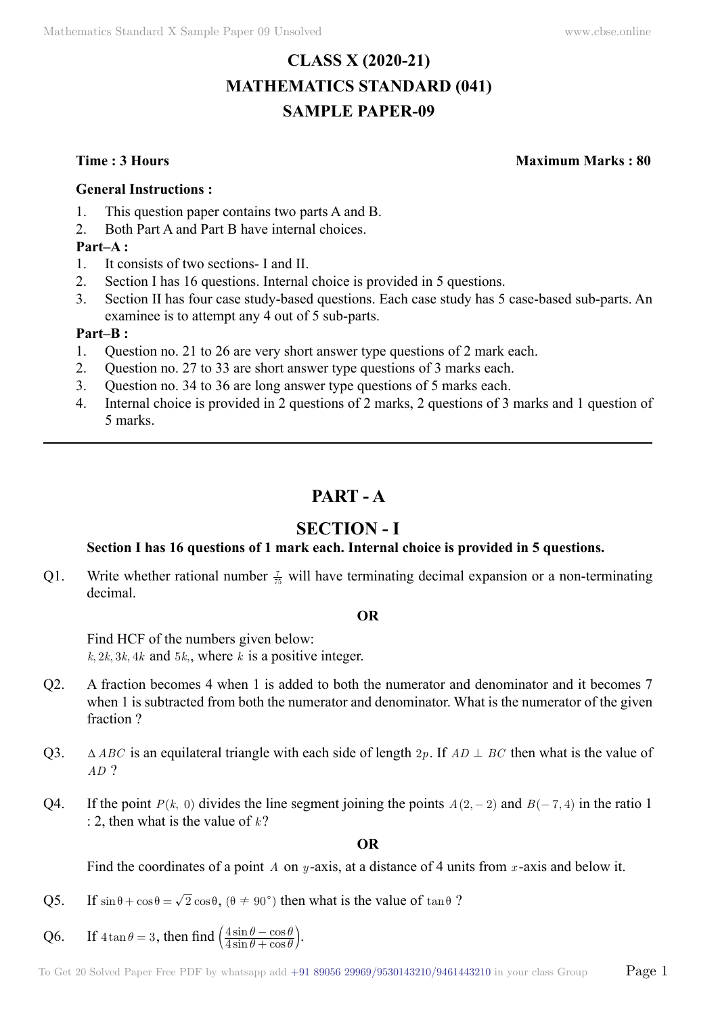# **CLASS X (2020-21) MATHEMATICS STANDARD (041) SAMPLE PAPER-09**

**Time : 3 Hours Maximum Marks : 80**

#### **General Instructions :**

- 1. This question paper contains two parts A and B.
- 2. Both Part A and Part B have internal choices.

#### **Part–A :**

- 1. It consists of two sections- I and II.
- 2. Section I has 16 questions. Internal choice is provided in 5 questions.
- 3. Section II has four case study-based questions. Each case study has 5 case-based sub-parts. An examinee is to attempt any 4 out of 5 sub-parts.

#### **Part–B :**

- 1. Question no. 21 to 26 are very short answer type questions of 2 mark each.
- 2. Question no. 27 to 33 are short answer type questions of 3 marks each.
- 3. Question no. 34 to 36 are long answer type questions of 5 marks each.
- 4. Internal choice is provided in 2 questions of 2 marks, 2 questions of 3 marks and 1 question of 5 marks.

# **Part - A**

## **Section - I**

## **Section I has 16 questions of 1 mark each. Internal choice is provided in 5 questions.**

Q1. Write whether rational number  $\frac{7}{75}$  will have terminating decimal expansion or a non-terminating decimal.

#### **O**

Find HCF of the numbers given below:  $k, 2k, 3k, 4k$  and  $5k$ ,, where *k* is a positive integer.

- Q2. A fraction becomes 4 when 1 is added to both the numerator and denominator and it becomes 7 when 1 is subtracted from both the numerator and denominator. What is the numerator of the given fraction ?
- Q3.  $\Delta ABC$  is an equilateral triangle with each side of length  $2p$ . If  $AD \perp BC$  then what is the value of *AD* ?
- Q4. If the point  $P(k, 0)$  divides the line segment joining the points  $A(2, -2)$  and  $B(-7, 4)$  in the ratio 1 : 2, then what is the value of  $k$ ?

#### **O**

Find the coordinates of a point *A* on *y* -axis, at a distance of 4 units from *x* -axis and below it.

- Q5. If  $\sin \theta + \cos \theta = \sqrt{2} \cos \theta$ ,  $(\theta \neq 90^{\degree})$  then what is the value of  $\tan \theta$ ?
- Q6. If  $4 \tan \theta = 3$ , then find  $\left(\frac{4 \sin \theta \cos \theta}{4 \sin \theta + \cos \theta}\right)$ 4 4  $\theta$  +  $\cos \theta$  $\theta$  – cos  $\theta$  $\left(\frac{4\sin\theta-\cos\theta}{4\sin\theta+\cos\theta}\right).$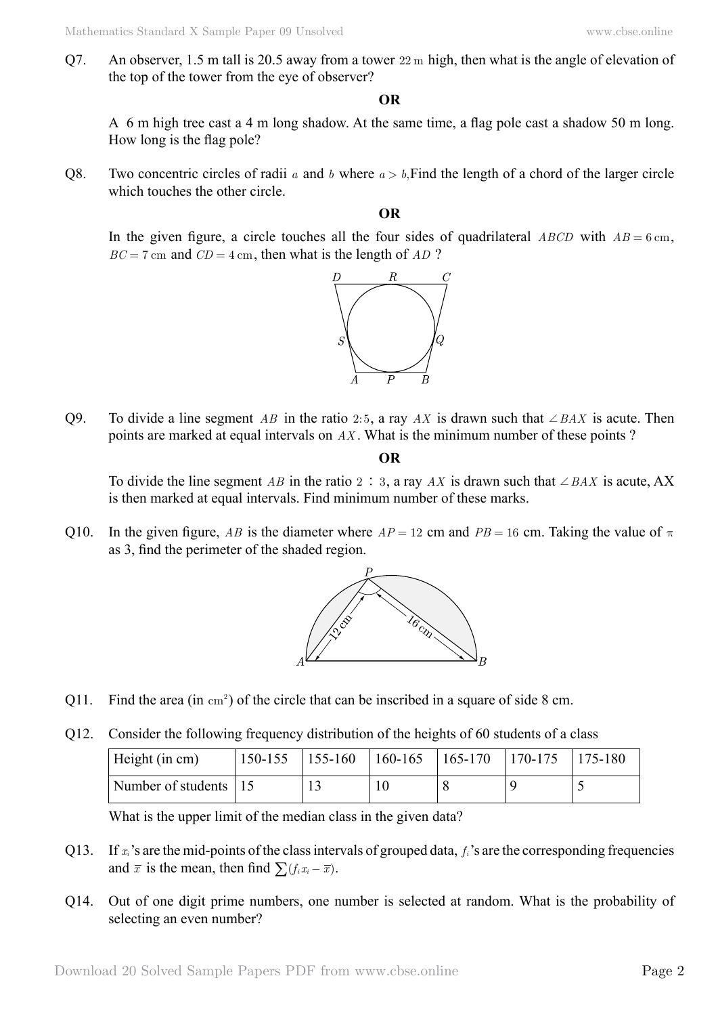Q7. An observer, 1.5 m tall is 20.5 away from a tower 22 m high, then what is the angle of elevation of the top of the tower from the eye of observer?

#### **O**

A 6 m high tree cast a 4 m long shadow. At the same time, a flag pole cast a shadow 50 m long. How long is the flag pole?

Q8. Two concentric circles of radii *a* and *b* where  $a > b$ . Find the length of a chord of the larger circle which touches the other circle.

#### **O**

In the given figure, a circle touches all the four sides of quadrilateral *ABCD* with  $AB = 6 \text{ cm}$ ,  $BC = 7$  cm and  $CD = 4$  cm, then what is the length of *AD* ?



Q9. To divide a line segment *AB* in the ratio 2:5, a ray *AX* is drawn such that  $\angle BAX$  is acute. Then points are marked at equal intervals on *AX* . What is the minimum number of these points ?

#### **O**

To divide the line segment *AB* in the ratio 2 : 3, a ray *AX* is drawn such that  $\angle BAX$  is acute, AX is then marked at equal intervals. Find minimum number of these marks.

Q10. In the given figure, *AB* is the diameter where  $AP = 12$  cm and  $PB = 16$  cm. Taking the value of  $\pi$ as 3, find the perimeter of the shaded region.



- Q11. Find the area (in  $\text{cm}^2$ ) of the circle that can be inscribed in a square of side 8 cm.
- Q12. Consider the following frequency distribution of the heights of 60 students of a class

| Height (in cm)          | $150-155$   155-160 |  | $160-165$ $165-170$ $170-175$ $175-180$ |  |
|-------------------------|---------------------|--|-----------------------------------------|--|
| Number of students   15 |                     |  |                                         |  |

What is the upper limit of the median class in the given data?

- Q13. If *xi*'s are the mid-points of the class intervals of grouped data, *fi*'s are the corresponding frequencies and  $\bar{x}$  is the mean, then find  $\sum (f_i x_i - \bar{x})$ .
- Q14. Out of one digit prime numbers, one number is selected at random. What is the probability of selecting an even number?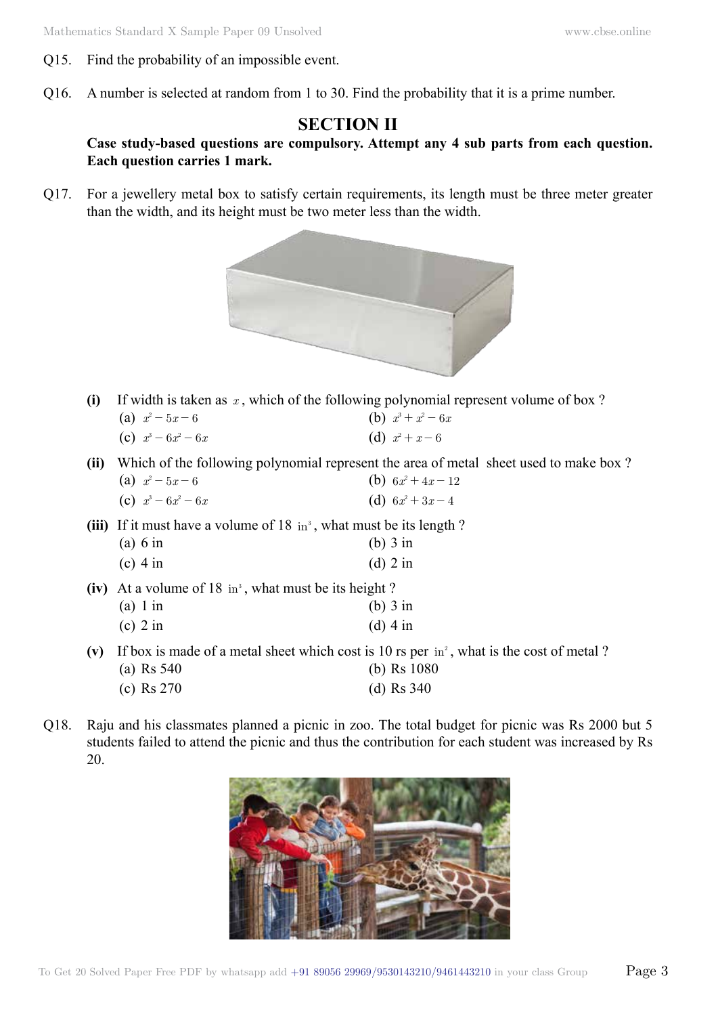- Q15. Find the probability of an impossible event.
- Q16. A number is selected at random from 1 to 30. Find the probability that it is a prime number.

# **Section II**

### **Case study-based questions are compulsory. Attempt any 4 sub parts from each question. Each question carries 1 mark.**

Q17. For a jewellery metal box to satisfy certain requirements, its length must be three meter greater than the width, and its height must be two meter less than the width.



**(i)** If width is taken as *x* , which of the following polynomial represent volume of box ?

| (a) $x^2 - 5x - 6$    | (b) $x^3 + x^2 - 6x$ |
|-----------------------|----------------------|
| (c) $x^3 - 6x^2 - 6x$ | (d) $x^2 + x - 6$    |

- **(ii)** Which of the following polynomial represent the area of metal sheet used to make box ? (a)  $x^2 - 5x - 6$  (b)  $6x^2 + 4x - 12$ 
	- (c)  $x^3 6x^2 6x$  (d)  $6x^2 + 3x 4$
- **(iii)** If it must have a volume of  $18 \text{ in}^3$ , what must be its length ? (a) 6 in (b) 3 in
	- (c) 4 in (d) 2 in
- **(iv)** At a volume of 18 in<sup>3</sup>, what must be its height ? (a) 1 in (b) 3 in (c)  $2 \text{ in}$  (d)  $4 \text{ in}$
- (v) If box is made of a metal sheet which cost is 10 rs per in<sup>2</sup>, what is the cost of metal ?
	- (a) Rs 540 (b) Rs 1080
	- (c) Rs 270 (d) Rs 340
- Q18. Raju and his classmates planned a picnic in zoo. The total budget for picnic was Rs 2000 but 5 students failed to attend the picnic and thus the contribution for each student was increased by Rs 20.

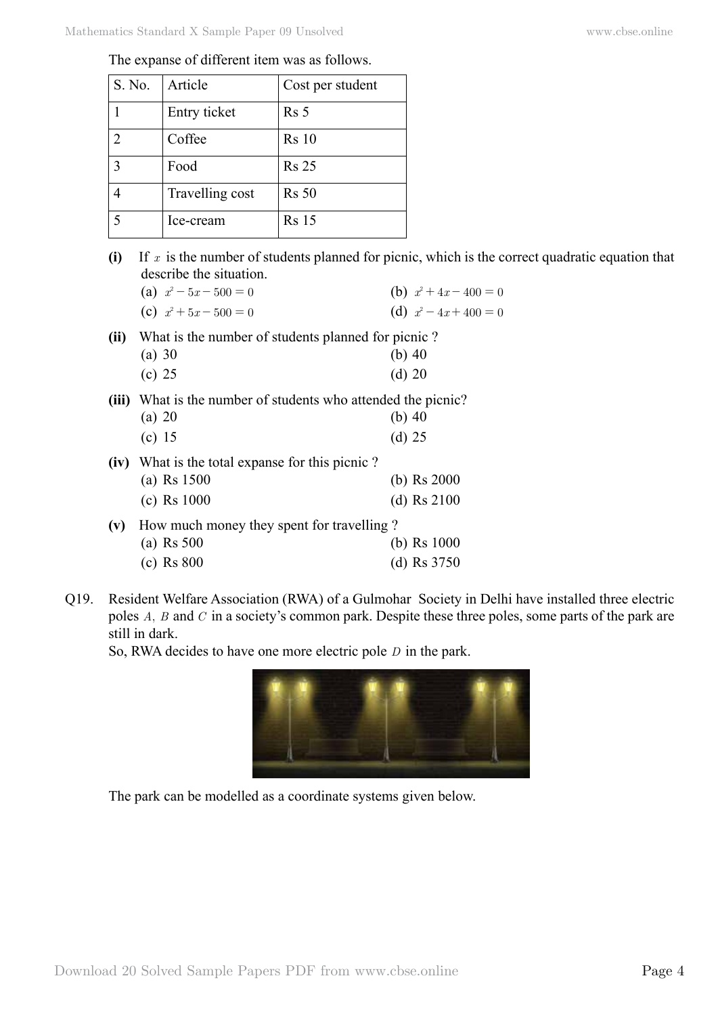| The expanse of different item was as follows. |  |  |  |
|-----------------------------------------------|--|--|--|
|-----------------------------------------------|--|--|--|

| S. No.      | Article         | Cost per student |
|-------------|-----------------|------------------|
|             | Entry ticket    | Rs 5             |
|             | Coffee          | <b>Rs</b> 10     |
| $\mathbf 3$ | Food            | <b>Rs 25</b>     |
|             | Travelling cost | <b>Rs</b> 50     |
|             | Ice-cream       | <b>Rs</b> 15     |

**(i)** If *x* is the number of students planned for picnic, which is the correct quadratic equation that describe the situation.

|      | (a) $x^2 - 5x - 500 = 0$                                      | (b) $x^2 + 4x - 400 = 0$ |
|------|---------------------------------------------------------------|--------------------------|
|      | (c) $x^2 + 5x - 500 = 0$                                      | (d) $x^2 - 4x + 400 = 0$ |
| (ii) | What is the number of students planned for picnic?            |                          |
|      | $(a)$ 30                                                      | (b) $40$                 |
|      | (c) 25                                                        | (d) 20                   |
|      | (iii) What is the number of students who attended the picnic? |                          |
|      | (a) 20                                                        | (b) $40$                 |
|      | (c) 15                                                        | (d) 25                   |
|      | (iv) What is the total expanse for this picnic?               |                          |
|      | (a) $Rs 1500$                                                 | (b) $\text{Rs } 2000$    |
|      | (c) Rs $1000$                                                 | (d) $Rs\ 2100$           |
|      | (v) How much money they spent for travelling?                 |                          |
|      | (a) Rs $500$                                                  | (b) $\text{Rs } 1000$    |
|      | $(c)$ Rs 800                                                  | (d) Rs $3750$            |

Q19. Resident Welfare Association (RWA) of a Gulmohar Society in Delhi have installed three electric poles *A*, *B* and *C* in a society's common park. Despite these three poles, some parts of the park are still in dark.

So, RWA decides to have one more electric pole *D* in the park.



The park can be modelled as a coordinate systems given below.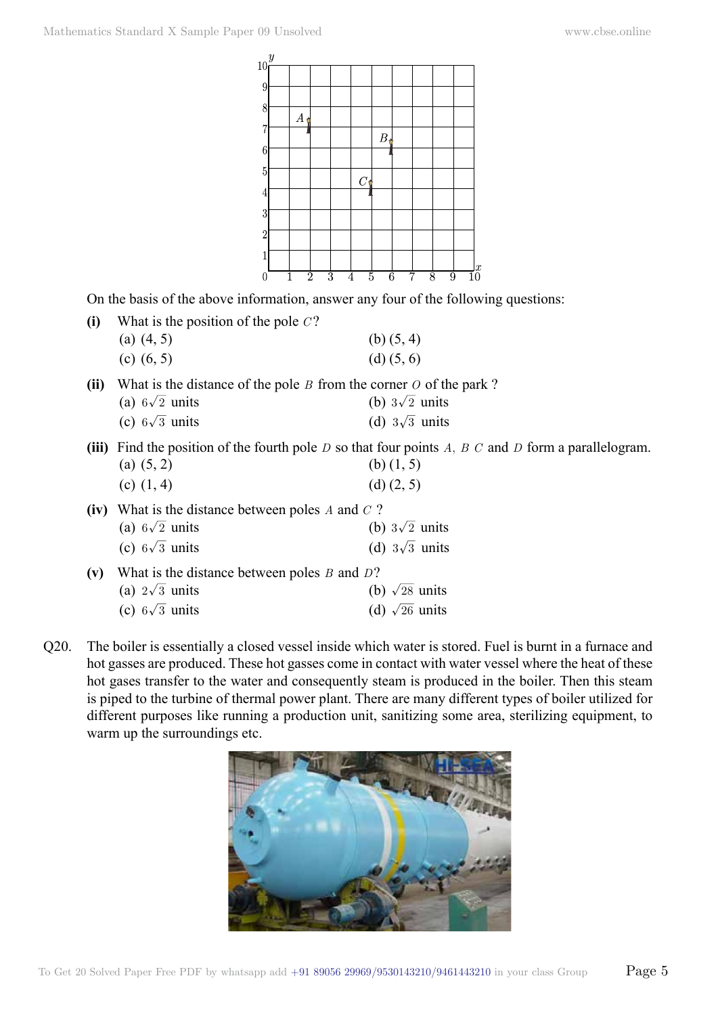

On the basis of the above information, answer any four of the following questions:

| What is the position of the pole $C$ ? |                                                                                                           |
|----------------------------------------|-----------------------------------------------------------------------------------------------------------|
| (a) $(4, 5)$                           | (b) $(5, 4)$                                                                                              |
| (c) $(6, 5)$                           | $(d)$ $(5, 6)$                                                                                            |
|                                        | What is the distance of the pole $\overline{p}$ from the corner $\overline{Q}$ of the park $\overline{Q}$ |

**(ii)** What is the distance of the pole *B* from the corner *O* of the park ? (a)  $6\sqrt{2}$  units (b)  $3\sqrt{2}$  units

| $(u)$ ov $\omega$ units | $\sqrt{U}$ ov $\omega$ units |
|-------------------------|------------------------------|
| (c) $6\sqrt{3}$ units   | (d) $3\sqrt{3}$ units        |

**(iii)** Find the position of the fourth pole *D* so that four points *A*, *B C* and *D* form a parallelogram. (a)  $(5, 2)$  (b)  $(1, 5)$ 

| (c) $(1, 4)$ | $(d)$ $(2, 5)$ |
|--------------|----------------|

| (iv) What is the distance between poles A and $C$ ?  |                       |  |
|------------------------------------------------------|-----------------------|--|
| (a) $6\sqrt{2}$ units                                | (b) $3\sqrt{2}$ units |  |
| (c) $6\sqrt{3}$ units                                | (d) $3\sqrt{3}$ units |  |
| (v) What is the distance between poles $B$ and $D$ ? |                       |  |

| (a) $2\sqrt{3}$ units | (b) $\sqrt{28}$ units |
|-----------------------|-----------------------|
| (c) $6\sqrt{3}$ units | (d) $\sqrt{26}$ units |

Q20. The boiler is essentially a closed vessel inside which water is stored. Fuel is burnt in a furnace and hot gasses are produced. These hot gasses come in contact with water vessel where the heat of these hot gases transfer to the water and consequently steam is produced in the boiler. Then this steam is piped to the turbine of thermal power plant. There are many different types of boiler utilized for different purposes like running a production unit, sanitizing some area, sterilizing equipment, to warm up the surroundings etc.

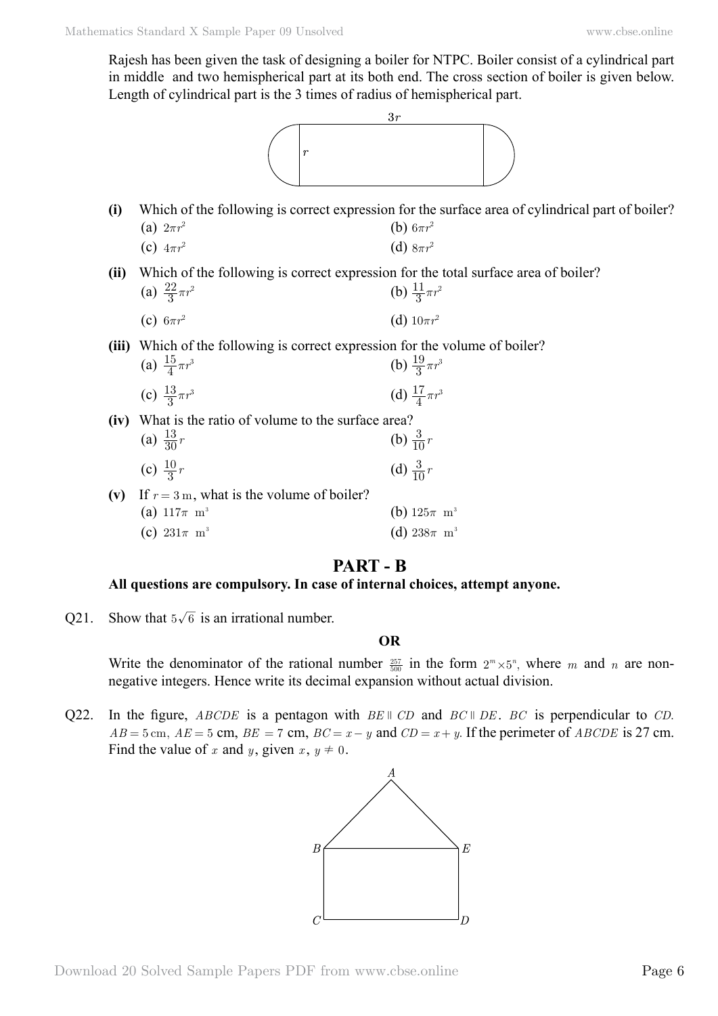Rajesh has been given the task of designing a boiler for NTPC. Boiler consist of a cylindrical part in middle and two hemispherical part at its both end. The cross section of boiler is given below. Length of cylindrical part is the 3 times of radius of hemispherical part.



- **(i)** Which of the following is correct expression for the surface area of cylindrical part of boiler? (a)  $2\pi r^2$  (b)  $6\pi r^2$ 
	- (c)  $4\pi r^2$  **(d)**  $8\pi r^2$
- **(ii)** Which of the following is correct expression for the total surface area of boiler? (a)  $\frac{22}{3}\pi r^2$  $\frac{22}{3}\pi r^2$  (b)  $\frac{11}{3}\pi r^2$

(c) 
$$
6\pi r^2
$$
 (d)  $10\pi r^2$ 

**(iii)** Which of the following is correct expression for the volume of boiler?  $\sim$  15

| (a) $\frac{15}{4}\pi r^3$ | (b) $\frac{19}{3}\pi r^3$ |
|---------------------------|---------------------------|
| (c) $\frac{13}{3}\pi r^3$ | (d) $\frac{17}{4}\pi r^3$ |

**(iv)** What is the ratio of volume to the surface area? (a)  $\frac{13}{30}r$  $\frac{13}{30}r$  (b)  $\frac{3}{10}r$ 

(c) 
$$
\frac{10}{3}r
$$
 (d)  $\frac{3}{10}r$ 

- (v) If  $r = 3$  m, what is the volume of boiler? (a)  $117\pi \text{ m}^3$  (b)  $125\pi \text{ m}^3$ 
	- (c)  $231\pi$  m<sup>3</sup> (d)  $238\pi$  m<sup>3</sup>

## **Part - B**

#### **All questions are compulsory. In case of internal choices, attempt anyone.**

Q21. Show that  $5\sqrt{6}$  is an irrational number.

#### **O**

Write the denominator of the rational number  $\frac{257}{500}$  in the form  $2^m \times 5^n$ , where m and n are nonnegative integers. Hence write its decimal expansion without actual division.

Q22. In the figure, *ABCDE* is a pentagon with *BE*  $\parallel$  *CD* and *BC*  $\parallel$  *DE*. *BC* is perpendicular to *CD*.  $AB = 5$  cm,  $AE = 5$  cm,  $BE = 7$  cm,  $BC = x - y$  and  $CD = x + y$ . If the perimeter of *ABCDE* is 27 cm. Find the value of *x* and *y*, given  $x, y \neq 0$ .

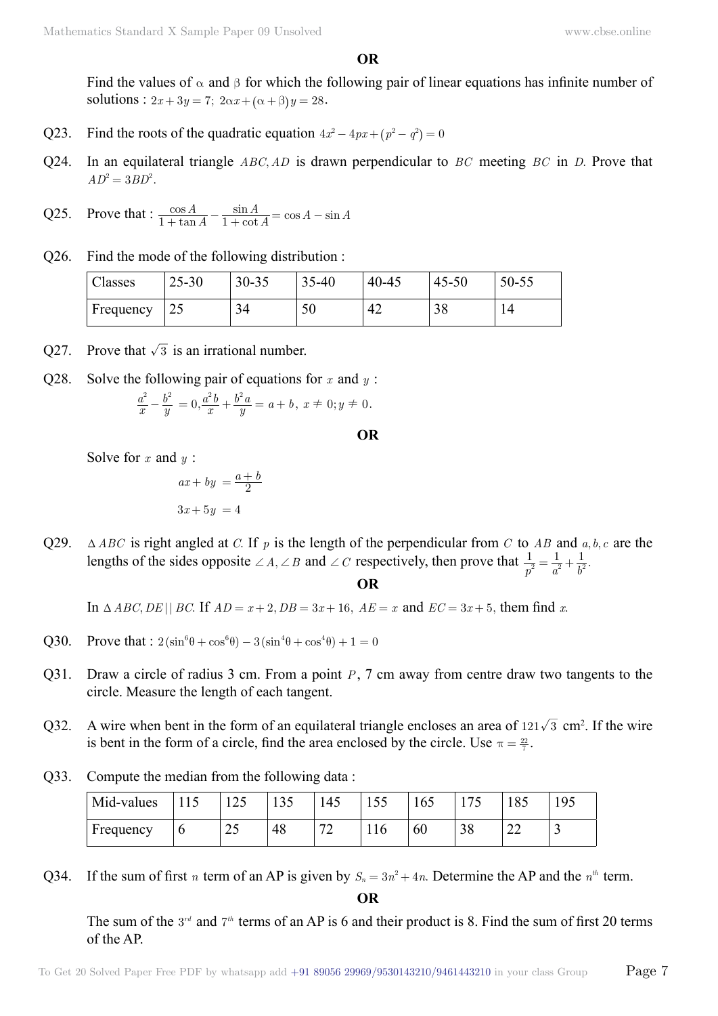**O**

Find the values of  $\alpha$  and  $\beta$  for which the following pair of linear equations has infinite number of solutions :  $2x + 3y = 7$ ;  $2\alpha x + (\alpha + \beta)y = 28$ .

- Q23. Find the roots of the quadratic equation  $4x^2 4px + (p^2 q^2) = 0$
- Q24. In an equilateral triangle *ABC A*, *D* is drawn perpendicular to *BC* meeting *BC* in *D*. Prove that  $AD^2 = 3BD^2$ .

Q25. Prove that: 
$$
\frac{\cos A}{1 + \tan A} - \frac{\sin A}{1 + \cot A} = \cos A - \sin A
$$

Q26. Find the mode of the following distribution :

| Classes   | $25 - 30$       | $30 - 35$ | 35-40<br>$\gamma$ $\epsilon$ | $40 - 45$       | $45 - 50$ | $50 - 55$ |
|-----------|-----------------|-----------|------------------------------|-----------------|-----------|-----------|
| Frequency | $\bigcap$<br>د∠ | 34        | 50                           | $\Lambda$<br>42 | 20        | 14        |

- Q27. Prove that  $\sqrt{3}$  is an irrational number.
- Q28. Solve the following pair of equations for *x* and *y* :

$$
\frac{a^2}{x} - \frac{b^2}{y} = 0, \frac{a^2b}{x} + \frac{b^2a}{y} = a + b, \ x \neq 0; y \neq 0.
$$

 **O**

Solve for *x* and *y* :

$$
ax + by = \frac{a+b}{2}
$$

$$
3x + 5y = 4
$$

Q29.  $\Delta ABC$  is right angled at *C*. If *p* is the length of the perpendicular from *C* to *AB* and  $a, b, c$  are the lengths of the sides opposite  $\angle A$ ,  $\angle B$  and  $\angle C$  respectively, then prove that  $\frac{1}{p^2} = \frac{1}{a^2} + \frac{1}{b^2}$ .

 **O**

In  $\triangle ABC, DE \parallel BC$ . If  $AD = x + 2$ ,  $DB = 3x + 16$ ,  $AE = x$  and  $EC = 3x + 5$ , them find *x*.

- Q30. Prove that :  $2(\sin^6\theta + \cos^6\theta) 3(\sin^4\theta + \cos^4\theta) + 1 = 0$
- Q31. Draw a circle of radius 3 cm. From a point *P*, 7 cm away from centre draw two tangents to the circle. Measure the length of each tangent.
- Q32. A wire when bent in the form of an equilateral triangle encloses an area of  $121\sqrt{3}$  cm<sup>2</sup>. If the wire is bent in the form of a circle, find the area enclosed by the circle. Use  $\pi = \frac{22}{7}$ .
- Q33. Compute the median from the following data :

| Mid-values | 11 J | $\Lambda$<br>125   | $\cap$ $\Gamma$<br>1 J J | .45                           | $\overline{\mathbf{1}}$ $\mathbf{0}$ | 165 |           | $O \subseteq$<br>OJ. | 195 |
|------------|------|--------------------|--------------------------|-------------------------------|--------------------------------------|-----|-----------|----------------------|-----|
| Frequency  | υ    | -<br>$\sim$<br>ر گ | 48                       | $\overline{\phantom{a}}$<br>∼ | 116                                  | 60  | റ റ<br>98 | $\sim$<br>∠∠         | -   |

Q34. If the sum of first *n* term of an AP is given by  $S_n = 3n^2 + 4n$ . Determine the AP and the  $n^{th}$  term.

 **O**

The sum of the 3<sup>rd</sup> and 7<sup>th</sup> terms of an AP is 6 and their product is 8. Find the sum of first 20 terms of the AP.